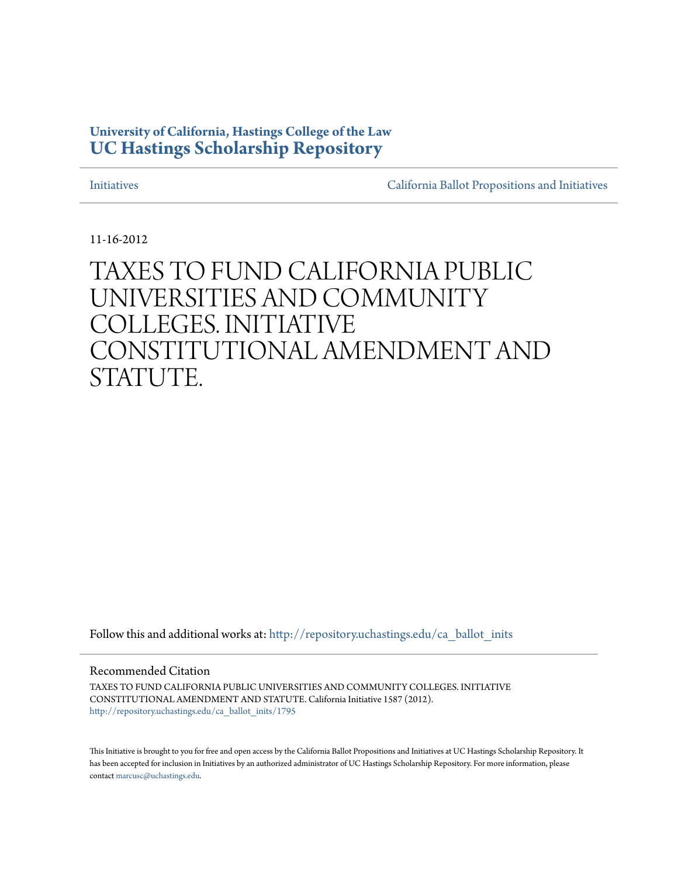# **University of California, Hastings College of the Law [UC Hastings Scholarship Repository](http://repository.uchastings.edu?utm_source=repository.uchastings.edu%2Fca_ballot_inits%2F1795&utm_medium=PDF&utm_campaign=PDFCoverPages)**

[Initiatives](http://repository.uchastings.edu/ca_ballot_inits?utm_source=repository.uchastings.edu%2Fca_ballot_inits%2F1795&utm_medium=PDF&utm_campaign=PDFCoverPages) [California Ballot Propositions and Initiatives](http://repository.uchastings.edu/ca_ballots?utm_source=repository.uchastings.edu%2Fca_ballot_inits%2F1795&utm_medium=PDF&utm_campaign=PDFCoverPages)

11-16-2012

# TAXES TO FUND CALIFORNIA PUBLIC UNIVERSITIES AND COMMUNITY COLLEGES. INITIATIVE CONSTITUTIONAL AMENDMENT AND STATUTE.

Follow this and additional works at: [http://repository.uchastings.edu/ca\\_ballot\\_inits](http://repository.uchastings.edu/ca_ballot_inits?utm_source=repository.uchastings.edu%2Fca_ballot_inits%2F1795&utm_medium=PDF&utm_campaign=PDFCoverPages)

Recommended Citation

TAXES TO FUND CALIFORNIA PUBLIC UNIVERSITIES AND COMMUNITY COLLEGES. INITIATIVE CONSTITUTIONAL AMENDMENT AND STATUTE. California Initiative 1587 (2012). [http://repository.uchastings.edu/ca\\_ballot\\_inits/1795](http://repository.uchastings.edu/ca_ballot_inits/1795?utm_source=repository.uchastings.edu%2Fca_ballot_inits%2F1795&utm_medium=PDF&utm_campaign=PDFCoverPages)

This Initiative is brought to you for free and open access by the California Ballot Propositions and Initiatives at UC Hastings Scholarship Repository. It has been accepted for inclusion in Initiatives by an authorized administrator of UC Hastings Scholarship Repository. For more information, please contact [marcusc@uchastings.edu](mailto:marcusc@uchastings.edu).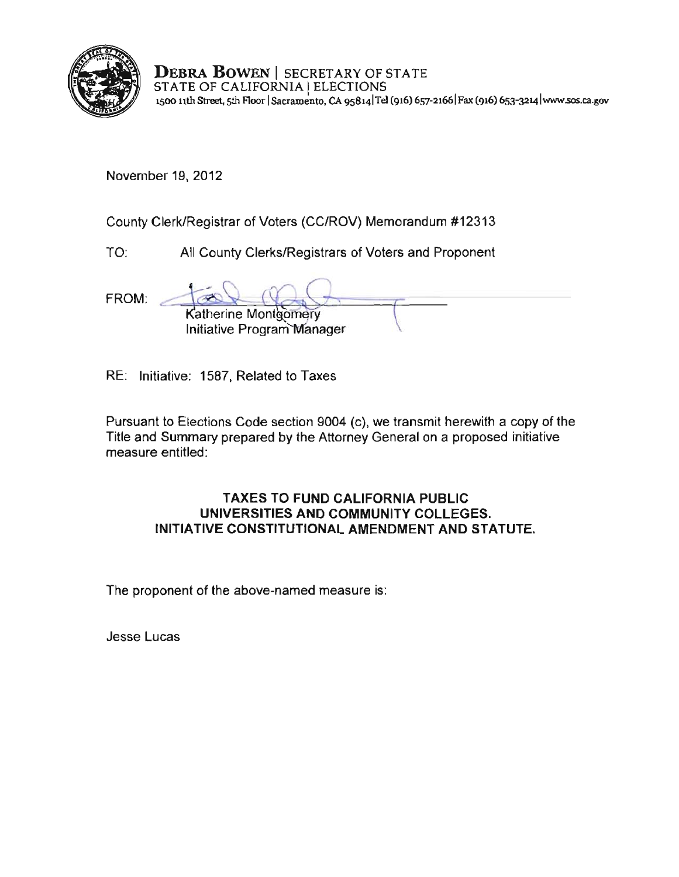

**DEBRA BOWEN** I SECRETARY OF STATE STATE OF CALIFORNIA IELECTIONS **1500 11th Street, 5th F100r ISacramento, CA 9S8141TeI (916) 657-21661 Fax (916) 653-3214 lwww,sos.ca.gov** 

November 19, 2012

County Clerk/Registrar of Voters (CC/ROV) Memorandum #12313

TO: All County Clerks/Registrars of Voters and Proponent

FROM: atherine Mont **comery Initiative Program Manager** 

RE: Initiative: 1587, Related to Taxes

Pursuant to Elections Code section 9004 (c), we transmit herewith a copy of the Title and Summary prepared by the Attorney General on a proposed initiative **measure entitled:** 

## **TAXES TO FUND CALIFORNIA PUBLIC UNIVERSITIES AND COMMUNITY COLLEGES. INITIATIVE CONSTITUTIONAL AMENDMENT AND STATUTE.**

The proponent of the above-named measure is:

**Jesse Lucas**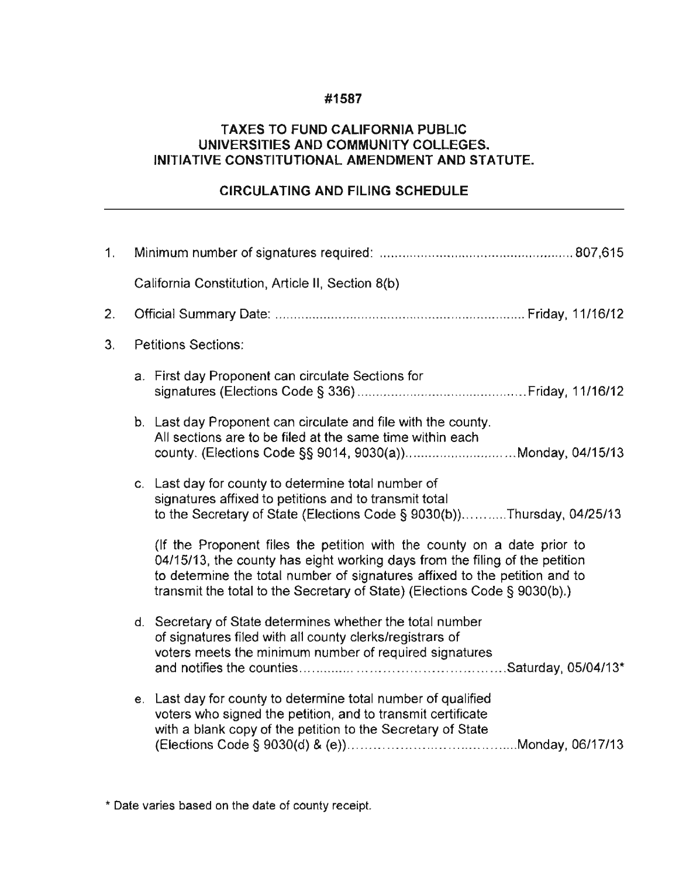## **#1587**

## **TAXES TO FUND CALIFORNIA PUBLIC UNIVERSITIES AND COMMUNITY COLLEGES. INITIATIVE CONSTITUTIONAL AMENDMENT AND STATUTE.**

# **CIRCULATING AND FILING SCHEDULE**

| 1. |                            |                                                                                                                                                                                                                                                                                                                   |  |
|----|----------------------------|-------------------------------------------------------------------------------------------------------------------------------------------------------------------------------------------------------------------------------------------------------------------------------------------------------------------|--|
|    |                            | California Constitution, Article II, Section 8(b)                                                                                                                                                                                                                                                                 |  |
| 2. |                            |                                                                                                                                                                                                                                                                                                                   |  |
| 3. | <b>Petitions Sections:</b> |                                                                                                                                                                                                                                                                                                                   |  |
|    |                            | a. First day Proponent can circulate Sections for                                                                                                                                                                                                                                                                 |  |
|    |                            | b. Last day Proponent can circulate and file with the county.<br>All sections are to be filed at the same time within each<br>county. (Elections Code §§ 9014, 9030(a))Monday, 04/15/13                                                                                                                           |  |
|    |                            | c. Last day for county to determine total number of<br>signatures affixed to petitions and to transmit total<br>to the Secretary of State (Elections Code § 9030(b))Thursday, 04/25/13                                                                                                                            |  |
|    |                            | (If the Proponent files the petition with the county on a date prior to<br>04/15/13, the county has eight working days from the filing of the petition<br>to determine the total number of signatures affixed to the petition and to<br>transmit the total to the Secretary of State) (Elections Code § 9030(b).) |  |
|    |                            | d. Secretary of State determines whether the total number<br>of signatures filed with all county clerks/registrars of<br>voters meets the minimum number of required signatures                                                                                                                                   |  |
|    |                            | e. Last day for county to determine total number of qualified<br>voters who signed the petition, and to transmit certificate<br>with a blank copy of the petition to the Secretary of State                                                                                                                       |  |

**,. Date varies based on the date of county receipt.**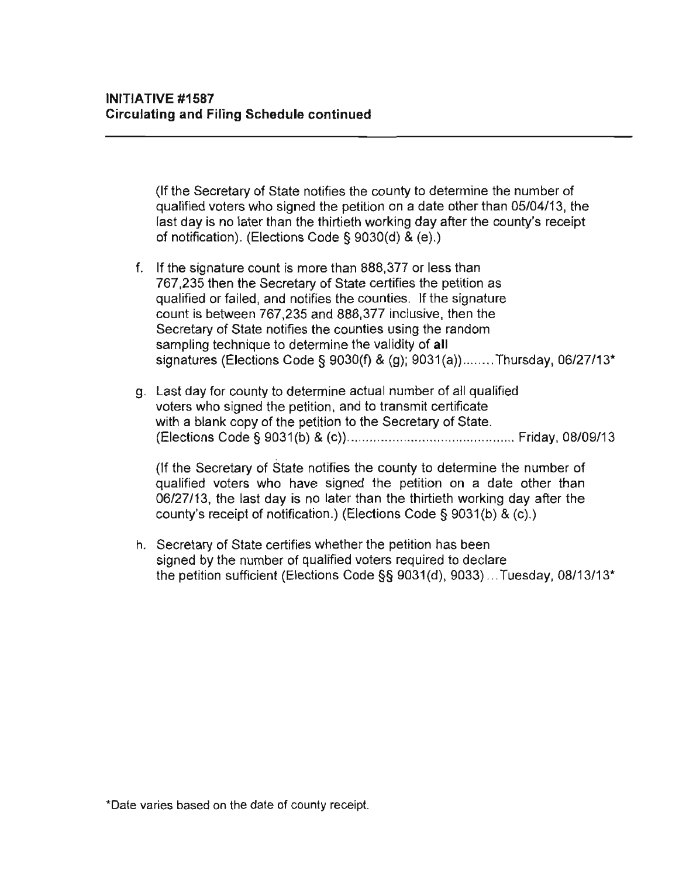(If the Secretary of State notifies the county to determine the number of qualified voters who signed the petition on a date other than *05/04/13,* the last day is no later than the thirtieth working day after the county's receipt of notification). (Elections Code § 9030(d) & (e).)

- f. If the signature count is more than 888,377 or less than 767,235 then the Secretary of State certifies the petition as qualified or failed, and notifies the counties. If the signature count is between 767,235 and 888,377 inclusive, then the Secretary of State notifies the counties using the random sampling technique to determine the validity of all signatures (Elections Code § 9030(f) & (g); 9031(a))........Thursday, 06/27/13\*
- g. Last day for county to determine actual number of all qualified voters who signed the petition, and to transmit certificate with a blank copy of the petition to the Secretary of State. (Elections Code § 9031 (b) & (c)) ............ ................................. Friday, *08/09/13*

(If the Secretary of State notifies the county to determine the number of qualified voters who have signed the petition on a date other than *06/27/13,* the last day is no later than the thirtieth working day after the counly's receipt of notification.) (Elections Code § 9031(b) & (c).)

h. Secretary of State certifies whether the petition has been signed by the number of qualified voters required to declare the petition sufficient (Elections Code §§ 9031(d), 9033) .. . Tuesday, *08/13/13'* 

**\*Date varies based on the date of county receipt.**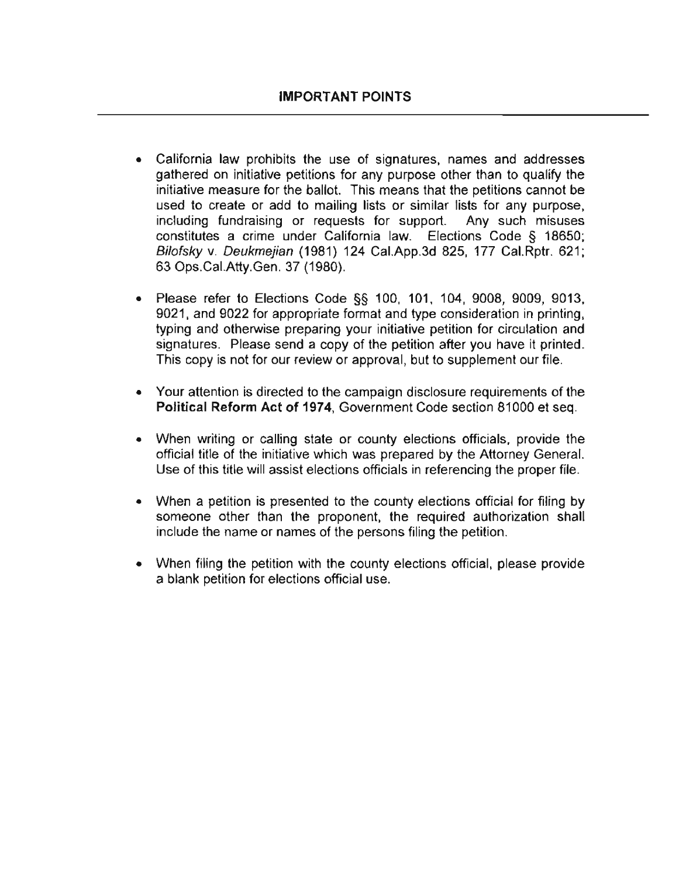- California law prohibits the use of signatures, names and addresses gathered on initiative petitions for any purpose other than to qualify the initiative measure for the ballot. This means that the petitions cannot be used to create or add to mailing lists or similar lists for any purpose, **including** fundraising **or requests for support. Any such misuses**  constitutes a crime under California law. Elections Code § 18650; Bilofsky v. Deukmejian (1981) 124 Cal.App.3d 825, 177 Cal.Rptr. 621; 63 Ops.Cal.Atty.Gen. 37 (1980).
- Please refer to Elections Code §§ 100, 101, 104, 9008, 9009, 9013, 9021, and 9022 for appropriate fonmat and type consideration in printing, typing and otherwise preparing your initiative petition for circulation and signatures. Please send a copy of the petition after you have it printed. This copy is not for our review or approval, but to supplement our file.
- Your attention is directed to the campaign disclosure requirements of the **Political Reform Act of 1974,** Government Code section 81000 et seq.
- When writing or calling state or county elections officials, provide the official title of the initiative which was prepared by the Attorney General. Use of this title will assist elections officials in referencing the proper file.
- When a petition is presented to the county elections official for filing by someone other than the proponent, the required authorization shall include the name or names of the persons filing the petition.
- When filing the petition with the county elections official, please provide a blank petition for elections official use.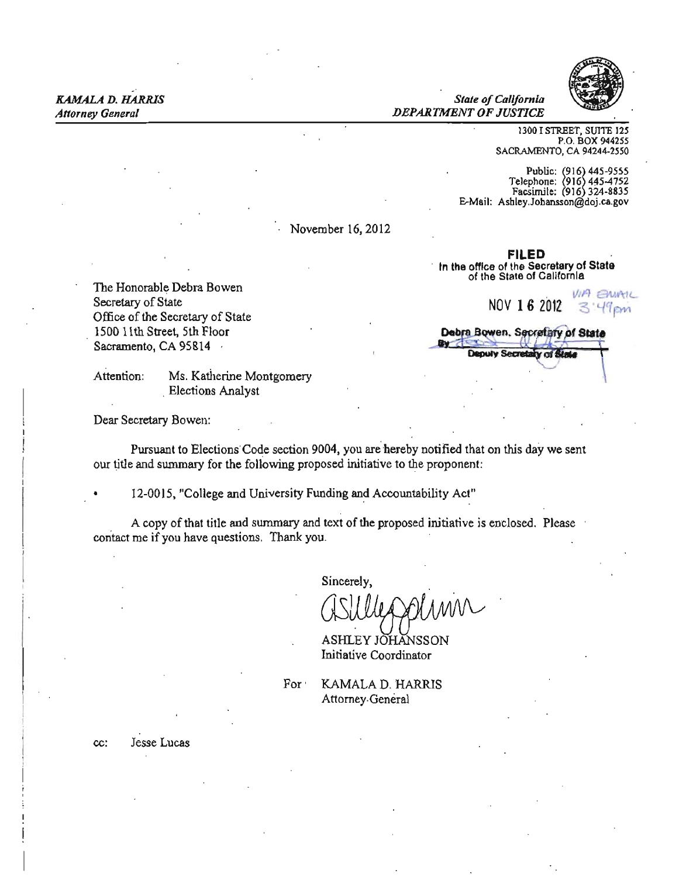*Attorney General DEPARTMENT OF JUSTICE* 

1300 I STREET, SUITE 125 P.O. BOX 944255 SACRAMENTO, CA 94244-2550

Public: (916) 445-9555<br>Telephone: (916) 445-4752 Facsimile: 916 324·8835 E-Mail: Ashley.Johansson@doj.ca.gov

. November 16, 2012

The Honorable Debra Bowen.<br>Secretary of State MOV 1 6 2012 NOV 1 6 2012 3:49 PM<br>
Secretary of State<br>
Office of the Secretary of State<br>
Office of the Secretary of State 1500 11th Street, 5th Floor Sacramento, CA 95814 Exercitary of State<br>
Secretary of State<br>
eet, 5th Floor<br>
CA 95814<br>
Ms. Katherine Montgomery<br>
Elections Analyst<br>
Elections Analyst

Attention: Ms. Katherine Montgomery

Dear Secretary Bowen:

Pursuant to Elections Code section 9004, you are hereby notified that on this day we sent our title and summary for the following proposed initiative to the proponent:

12-0015, "College and University Funding and Accountability Act"

A copy of that title and swnmary and text of the proposed initiative is enclosed. Please contact me if you have questions. Thank you.

Sincerely,

MM

ASHLEY JOHANSSON Initiative Coordinator

For **KAMALA D. HARRIS** Attorney-General

cc: Jesse Lucas

FILED In the office of the Secretary of State of the Stale of California

Debra Bowen, Secretary of State<br>W. Deputy Secretary of State

**Deby**<br>...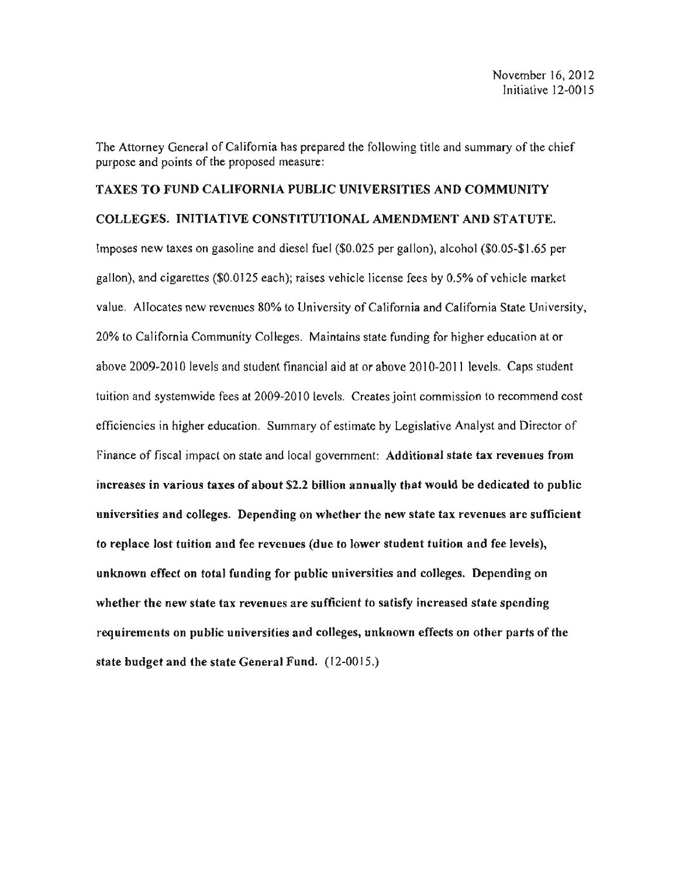The Attorney General of California has prepared the following title and summary of the chief purpose and points of the proposed measure:

### TAXES TO FUND CALIFORNIA PUBLIC UNIVERSITIES AND COMMUNITY

#### COLLEGES. INITIATIVE CONSTITUTIONAL AMENDMENT AND STATUTE.

Imposes new taxes on gasoline and diesel fuel (\$0.025 per gallon), alcohol (\$0.05-\$1.65 per gallon), and cigarettes (\$0.0125 each); raises vehicle license fees by 0.5% of vehicle market value. Allocates new revenues 80% to University of California and California State University, 20% to California Community Colleges. Maintains state funding for higher education at or above 2009-2010 levels and student financial aid at or above 2010-2011 levels. Caps student tuition and systemwide fees at 2009-2010 levels. Creates joint commission to recommend cost efficiencies in higher education. Summary of estimate by Legislative Analyst and Director of Finance of fiscal impact on state and local government: Additional state tax revenues from increases in various taxes of about \$2.2 billion annually that would be dedicated to public universities and colleges. Depending on whether the new state tax revenues are sufficient to replace lost tuition and fee revenues (due to lower student tuition and fee levels), unknown effect on total funding for public universities and colleges. Depending on whether the new state tax revenues are sufficient to satisfy increased state spending requirements on public universities and colleges, unknown effects on other parts of the state budget and the state General Fund. (12-0015.)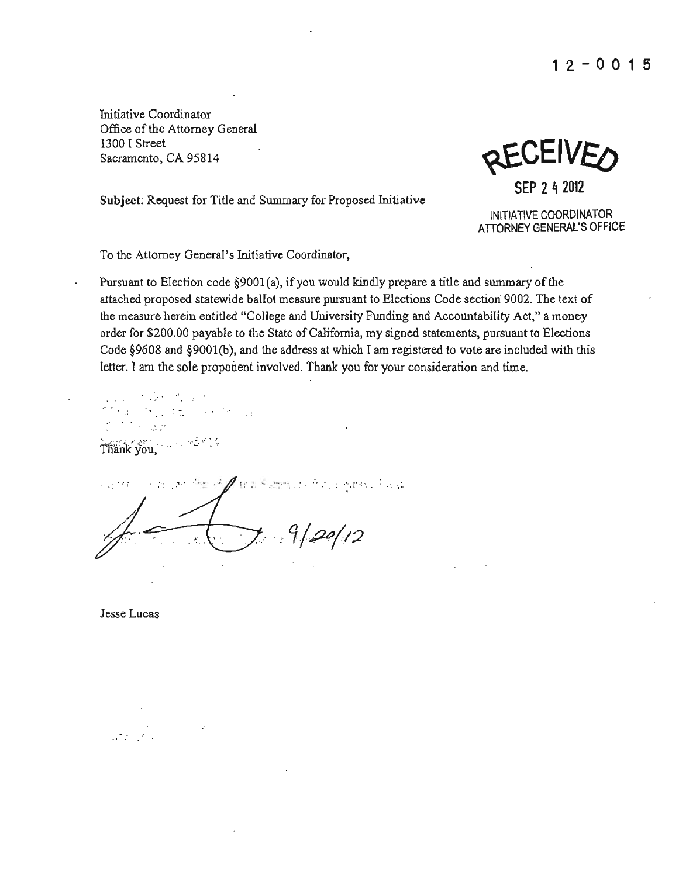Initiative Coordinator Office of the Attorney General \300 I Street Sacramento, CA 95814

化乙烯酸氢



Subject: Request for Title and Summary for Proposed Initiative

INITIATIVE COORDINATOR ATIORNEY GENERAL'S OFFICE

To the Attorney General's Initiative Coordinator,

Pursuant to Election code  $\S 9001(a)$ , if you would kindly prepare a title and summary of the attached proposed statewide ballot measure pursuant to Elections Code section 9002. The text of the measure herein entitled "College and University Funding and Accountability Act," a money order for \$200.00 payable to the State of California, my signed statements, pursuant to Elections Code §9608 and §9001(b}, and the address at which I am registered to vote are included with this letter. I am the sole proponent involved. Thank you for your consideration and time.

 $\mathcal{A}=\mathcal{A}^{\text{H}}$  , and  $\mathcal{I}=\mathcal{I}^{\text{H}}$  , and  $\mathcal{I}^{\text{H}}$ ta San Thank you, 1988 - 83 Miles  $\mathcal{L}_{\mathcal{M}}$  , and the  $\mathcal{L}_{\mathcal{M}}$  is a subsequently defined by the second conditions.  $9/20/12$ 

Jesse Lucas

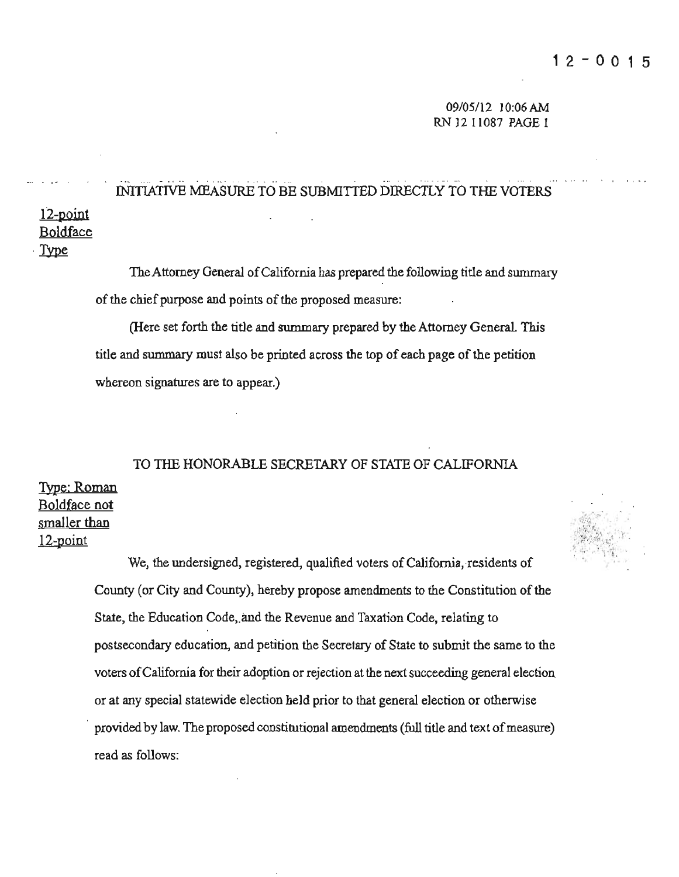## -... - .. '" \_ . .".. INITIATIVE MEASURE TO BE SUBMlITED DIRECTLY TO THE VOTERS

# 12-point Boldface<br>Type

The Attorney General of California has prepared the following title and summary of the chief purpose and points of the proposed measure:

(Here set forth the title and summary prepared by the Attorney General. This **title and summary must also be printed across the top of each page of the petition whereon signatures are to appear.)** 

### TO THE HONORABLE SECRETARY OF STATE OF CALIFORNIA

# JYpe: Roman Boldface not smaller than  $12$ -point  $\frac{1}{2}$  .  $\frac{1}{2}$  :  $\frac{1}{2}$   $\frac{1}{2}$   $\frac{1}{2}$   $\frac{1}{2}$   $\frac{1}{2}$   $\frac{1}{2}$   $\frac{1}{2}$   $\frac{1}{2}$   $\frac{1}{2}$   $\frac{1}{2}$   $\frac{1}{2}$   $\frac{1}{2}$   $\frac{1}{2}$   $\frac{1}{2}$   $\frac{1}{2}$   $\frac{1}{2}$   $\frac{1}{2}$   $\frac$

We, the undersigned, registered, qualified voters of California, residents of County (or City and County), hereby propose amendments to the Constitution of the State, the Education Code, and the Revenue and Taxation Code, relating to postsecondary education, and petition the Secretary of State to submit the same to the **voters** ofCalifornia **for their adoption or rejection at the next succeeding general election or at any special statewide election held prior to that general election or otherwise**  provided by law. The proposed constitutional amendments (full title and text ofmeasure) **read as follows:** 

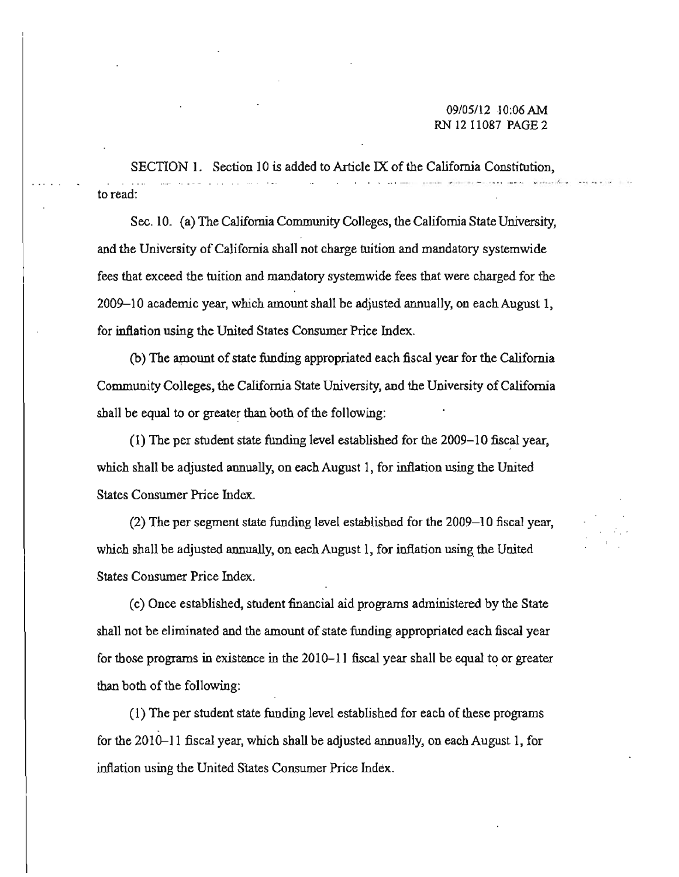$SECTION 1.$  Section 10 is added to Article IX of the California Constitution, ,< . ..",. ~ **'** to read:

Sec. 10. (a) The California Community Colleges, the California State University, **and the University ofCalifornia shall not charge tuition and mandatory systemwide fees that exceed the tuition and mandatory systemwide fees that were charged for the 2009- 10 academic year, which amount shall be adjusted annually, on each August 1, for inflation using the United States Consumer Price Index.** 

(b) The amount of state funding appropriated each fiscal year for the California Community Colleges, the California State University, and the University of California shall be equal to or greater than both of the following:

(1) The per student state funding level established for the 2009- 10 fiscal year, which shall be adjusted annually, on each August 1, for inflation using the United **States Consumer Price Index.** 

 $(2)$  The per segment state funding level established for the 2009-10 fiscal year, which shall be adjusted annually, on each August 1, for inflation using the United **States Consumer Price Index.** 

(c) Once established, student financial aid programs administered by the State **shall not be eliminated and the amount of state funding appropriated each fiscal year for those programs in existence in the 2010-11 fiscal year shaHbe equal to or greater**  than both of the following:

(I) The per student state funding level established for each of these programs for the 2010–11 fiscal year, which shall be adjusted annually, on each August 1, for **inflation using the United States Consumer Price Index.**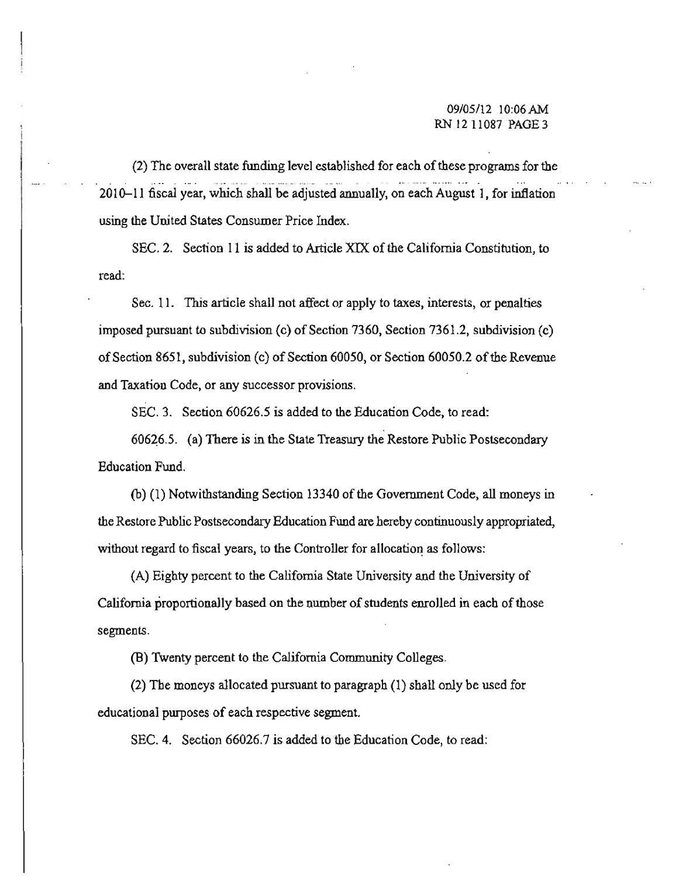(2) The overall state funding level established for each of these programs for the .," . \_.- .. .. . ..... \_. - -'" **.-** ... ",~, .... - 2010-11 fiscal year, which shall be adjusted annually, on each August 1, for inflation **using the United States Consumer Price Index.** 

SEC. 2. Section II is added to Article XIX of the California Constitution, to **read:** 

**Sec. 11. This article shall not affect or apply to taxes, interests, or penalties**  imposed pursuant to subdivision  $(c)$  of Section 7360, Section 7361.2, subdivision  $(c)$ of Section 8651, subdivision (c) of Section 60050, or Section 60050.2 of the Revenue **and Taxation Code, or any successor provisions.** 

SEC. 3. Section 60626.5 is added to the Education Code, to read:

60626.5. (a) There is in the State Treasury the Restore Public Postsecondary Education Fund.

(b) (I) Notwithstanding Section 13340 of the Government Code, all moneys in **the Restore Public Postsecondary Education Fund are hereby continuously appropriated,**  without regard to fiscal years, to the Controller for allocation as follows:

(A) Eighty percent to the California State University and the University of California proportionally based on the number of students enrolled in each of those **segments.** 

(B) 1\venty percent to the California Community Colleges.

(2) The moneys allocated pursuant to paragraph (I) shall only be used for **educational purposes of each respective segment.** 

SEC. 4. Section 66026.7 is added to the Education Code, to read: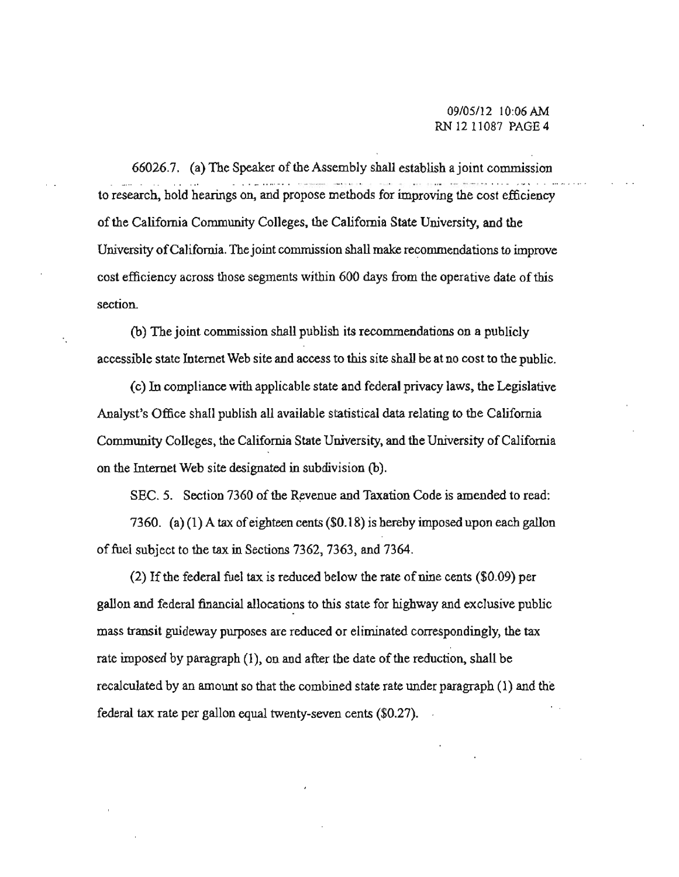66026.7. (a) The Speaker of the Assembly shall establish a joint commission **to research, hold hearings on, and propose methods for improving the cost efficiency**  ofthe California Community Colleges, the California State University, and the University of California. The joint commission shall make recommendations to improve **cost efficiency across those segments within 600 days from the operative date ofthis section.** 

(h) The joint commission shall publish its recommendations on a publicly **accessible state Internet Web site and access to this site shall be at no cost to the public.** 

(c) In compliance with applicable state and federal privacy laws, the Legislative Analyst's Office shall publish all available statistical data relating to the California Community Colleges, the California State University, and the University of California on the Internet Web site designated in subdivision (h).

SEC. 5. Section 7360 of the Revenue and Taxation Code is amended to read:

7360. (a)  $(1)$  A tax of eighteen cents (\$0.18) is hereby imposed upon each gallon offuel subject to the tax in Sections 7362, 7363, and 7364.

 $(2)$  If the federal fuel tax is reduced below the rate of nine cents  $(\$0.09)$  per gallon and federal financial allocations to this state for highway and exclusive public **mass transit guideway purposes are reduced or eliminated correspondingly. the tax**  rate imposed by paragraph (1), on and after the date of the reduction, shall be recalculated by an amount so that the combined state rate under paragraph (1) and the federal tax rate per gallon equal twenty-seven cents (\$0.27).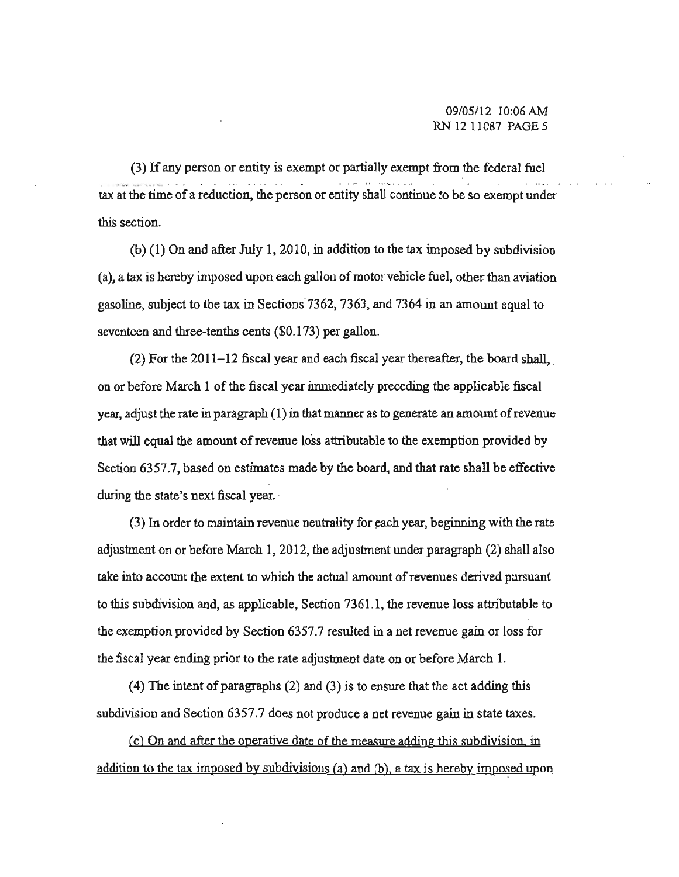(3) If any person or entity is exempt or partially exempt from the federal fuel **tax at the time of a reduction. the person or entity shall continue to be so exempt under this section.** 

 $(b)$  (1) On and after July 1, 2010, in addition to the tax imposed by subdivision **(a), a tax is hereby imposed upon each gallon cfmotor vehicle fuel, other than aviation gasoline, subject to the tax in Sections"7362, 7363, and 7364 in an amount equal to**  seventeen and three-tenths cents (\$0.173) per gallon.

 $(2)$  For the 2011-12 fiscal year and each fiscal year thereafter, the board shall, 00 or before March I ofthe fiscal year immediately preceding the applicable fiscal **year, adjust the rate in paragraph (1) in that manner as to generate an amount ofrevenue**  that will equal the amount of revenue loss attributable to the exemption provided by Section 6357.7, based on estimates made by the board, and that rate shall be effective **during the state's next fiscal year.** 

**(3) In order to maintain revenue neutrality for** ~ach **year, beginning with the rate**  adjustment on or before March 1,2012, the adjustment under paragraph (2) shall also **take into account the extent to which the actual amount ofrevenues derived pursuant to this subdivision and, as applicable, Section 7361.1, the revenue loss attributable to**  the exemption provided by Section 6357.7 resulted in a net revenue gain or loss for **the fiscal year ending prior to the rate adjustment date on or before March 1.** 

(4) The intent of paragraphs  $(2)$  and  $(3)$  is to ensure that the act adding this **subdivision and Section 6357.7 does not produce a net revenue gain in state taxes.** 

**(c) On and after the operative date of the measure adding this subdivision. in**  addition to the tax imposed by subdivisions (a) and (b), a tax is hereby imposed upon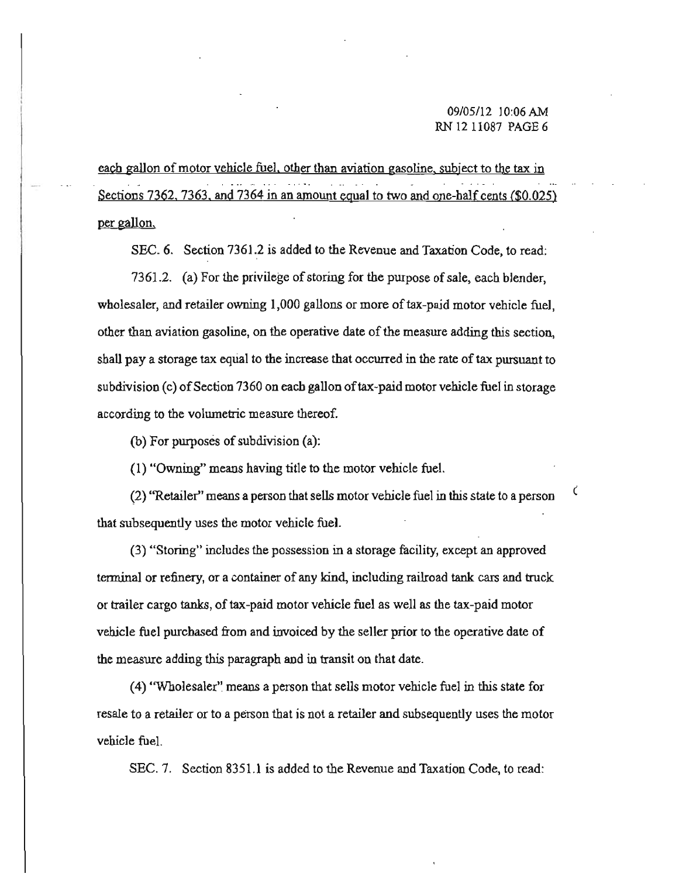**each gallon** of motor **vehicle fuel. other than aviation gasoline. subject to the tax in**  Sections 7362. 7363. and 7364 in an amount equal to two and one-half cents (\$0.025) per gallon.

SEC. 6. Section 7361.2 is added to the Revenue and Taxation Code, to read:

7361.2. (a) For the privilege of storing for the purpose of sale, each blender, **wholesaler, and retailer owning 1,000 gallons or more** oftax-paid **motor vehicle fuel. other than aviation gasoline, on the operative date ofthe measure adding this section,**  shall pay a storage tax equal to the increase that occurred in the rate of tax pursuant to **subdivision (c)** ofSection **7360 on each gallon** oftax-paid **motor vehicle fuel in storage according to the volumetric measure thereof.** 

(b) For purposes of subdivision  $(a)$ :

(I) "Owning" means having title to the motor vehicle fuel.

**(2) "Retailer" means aperson that sells motor vehicle fuel in this state to a person** ( **that subsequently uses the motor vehicle fuel.** 

**(3) "Storing" includes the possession in a storage facility, except an approved tenninal or refinery, or a container of any kind, including railroad tank cars and truck or trailer cargo tanks,** of tax-paid **motor vehicle fuel as well as the tax-paid motor vehicle fuel purchased from and invoiced by the seller prior to the operative date of**  the measure adding this paragraph and in transit on that date.

**(4)** "Wholesaler'~ **means a person that sells motor vehicle fuel in this state for resale to a retailer or to a person that is not a retailer and subsequently uses the motor**  vehicle fuel.

SEC. 7. Section 8351.1 is added to the Revenue and Taxation Code, to read: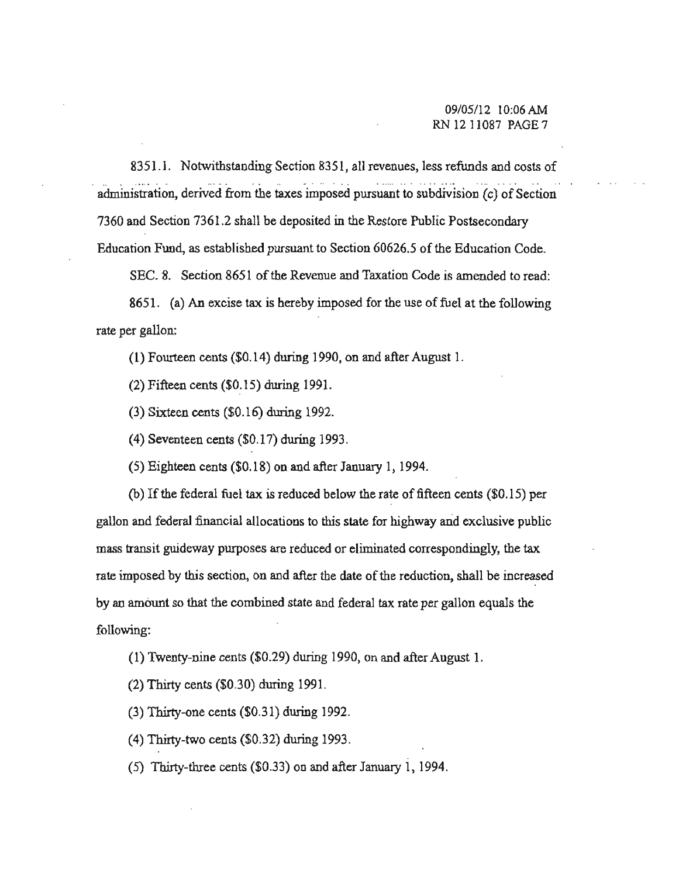8351.1. Notwithstanding Section 8351, all revenues, less refunds and costs of -. - . " ... ... - .. **administration, derived from the taxes imposed pursuant to subdivision (c) of Section**  7360 and Section 7361.2 shall be deposited in the Restore Public Postsecondary Education Fund, as established pursuant to Section 60626.5 of the Education Code.

SEC. 8. Section 8651 of the Revenue and Taxation Code is amended to read:

8651. (a) An excise tax is hereby imposed for the use of fuel at the following **rate per gallon:** 

(I) Fourteen cents (\$0.14) during 1990, on and after August 1.

(2) Fifteen cents (\$0.15) during 1991.

(3) Sixteen cents (\$0.16) during 1992.

(4) Seventeen cents (\$0.17) during 1993.

(5) Eighteen cents (\$0.18) on and after January I, 1994.

(b) If the federal fuel tax is reduced below the rate of fifteen cents  $(\$0.15)$  per **gallon and federal financial allocations to this state for highway and exclusive public mass transit guideway purposes are reduced or eliminated correspondingly, the tax**  rate imposed by this section, on and after the date of the reduction, shall be increased by an amount so that the combined state and federal tax rate per gallon equals the following:

(I) Twenty-nine cents (\$0.29) during 1990, on and after August 1.

(2) Thirty cents (\$0.30) during 1991.

(3) Thirty-one cents (\$0.31) during 1992.

(4) Thirty-two cents (\$0.32) during 1993.

(5) Thirty-three cents (\$0.33) on and after January 1,1994.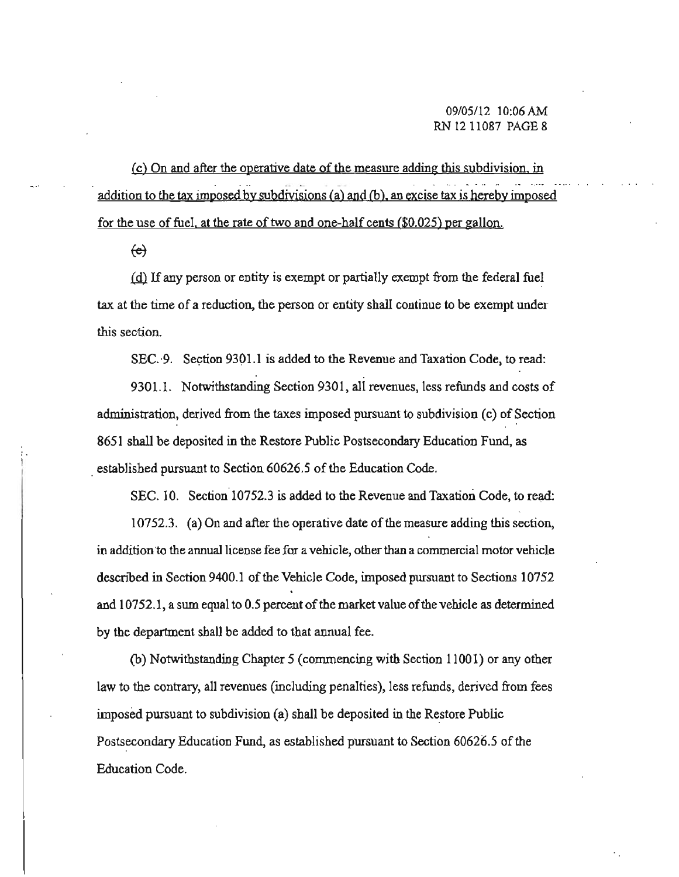**(c) On and after the operative date** of the **measure adding this subdivision. in**  addition to the tax imposed by subdivisions (a) and (b), an excise tax is hereby imposed for the use of fuel. at the rate of two and one-half cents (\$0.025) per gallon.

 $\leftrightarrow$ 

(d) If any person or entity is exempt or partially exempt from the federal fuel **tax at the time of a reduction, the person or entity shall continue to be exempt under this section.** 

SEC. 9. Section 9301.1 is added to the Revenue and Taxation Code, to read:

9301.1. Notwithstanding Section 9301, all revenues, less refunds and costs of **administration, derived from the taxes imposed pursuant to subdivision (c) of Section**  8651 shall be deposited in the Restore Public Postsecondary Education Fund, as established pursuant to Section 60626.5 of the Education Code.

SEC. 10. Section 10752.3 is added to the Revenue and Taxation Code, to read:

**10752.3.** (a) On and after the operative date of the measure adding this section, **in addition"to the** annual license **fee for a vehicle, other than acommercial motor vehicle**  described in Section 9400.1 of the Vehicle Code, imposed pursuant to Sections 10752 and  $10752.1$ , a sum equal to 0.5 percent of the market value of the vehicle as determined by the department shall be added to that annual fee.

(b) Notwithstanding Chapter 5 (commencing with Section 11001) or any other **law to the contrary, all revenues (including penalties), less refunds, derived from fees**  imposed pursuant to subdivision (a) shall be deposited in the Restore Public Postsecondary Education Fund, as established pursuant to Section 60626.5 of the **Education Code.**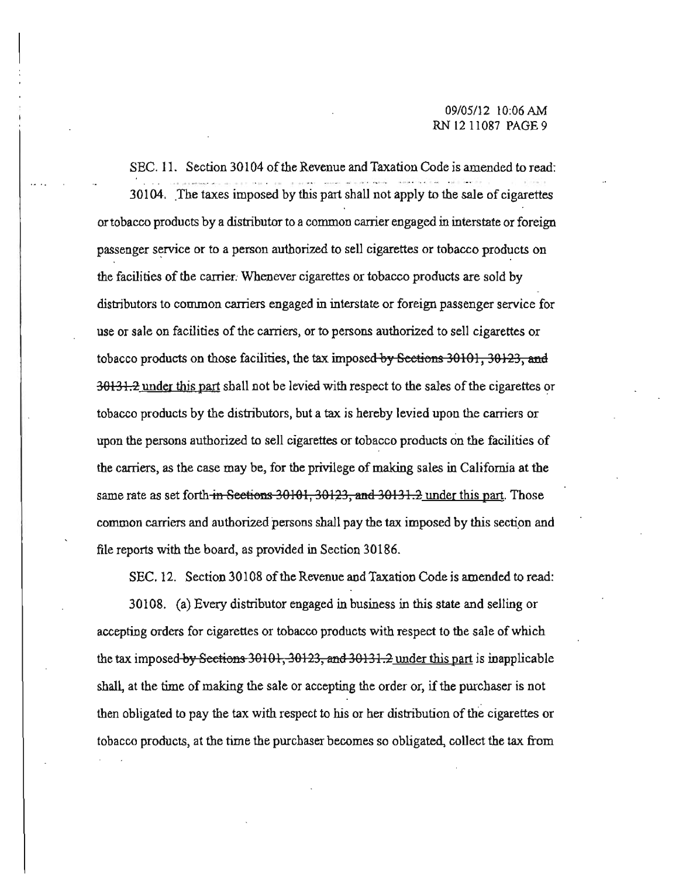SEC. 11. Section 30104 of the Revenue and Taxation Code is amended to read: 30104. The taxes imposed by this part shall not apply to the sale of cigarettes **or tobacco products by a distributor to a common carner engaged in interstate or foreign passenger service or to a person authorized to sell cigarettes or tobacco products on**  the facilities of the carrier. Whenever cigarettes or tobacco products are sold by **distributors to common carriers engaged in interstate or foreign passenger service for use or sale on facilities of the carriers, or to persons authorized to sell cigarettes or**  tobacco products on those facilities, the tax imposed by Seetions 30101, 30123, and **30131.2** under this part shall not be levied with respect to the sales of the cigarettes or **tobacco products by the distributors, but a tax is hereby levied upon the carriers or upon the persons authorized to sell cigarettes or tobacco products on the facilities of the carriers, as the case may be, for the privilege of making sales in California at the**  same rate as set forth in Sections 30101, 30123, and 30131.2 under this part. Those common carriers and authorized persons shall pay the tax imposed by this section and file reports with the board, as provided in Section 30186.

SEC. 12. Section 30108 of the Revenue and Taxation Code is amended to read:

30108. (a) Every distributor engaged in business in this state and selling or **accepting orders for cigarettes or tobacco products with respect to the sale of which**  the tax imposed by Sections 30101, 30123, and 30131.2 under this part is inapplicable **shall, at the time of making the sale or accepting the order or, if the purchaser is not then obligated to pay the tax with respect to his or her distribution** of the **cigarettes or tobacco products, at the time the purchaser becomes so obligated, cal1ect the tax from**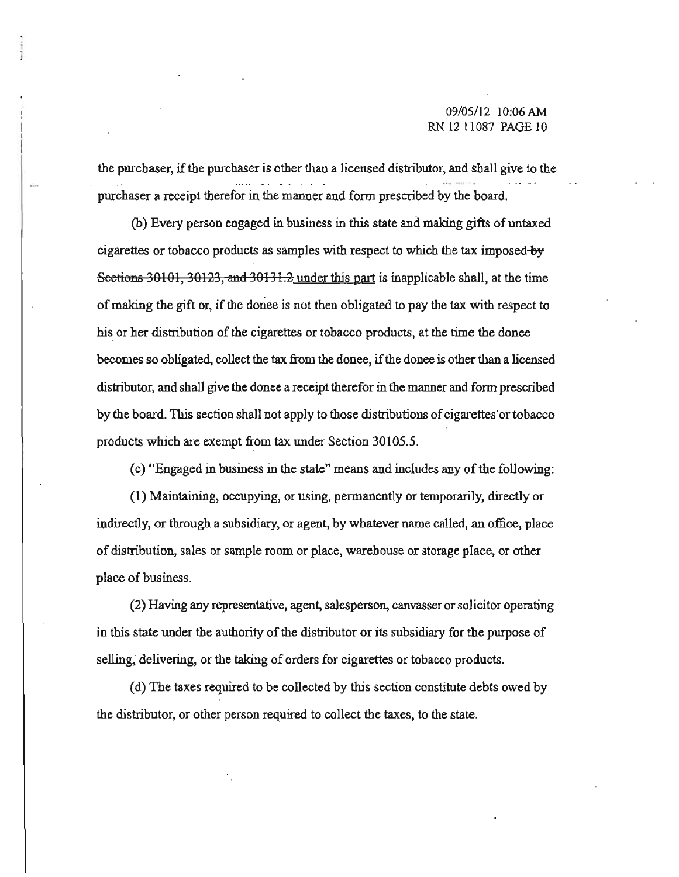**the purchaser, if the purchaser is other than a licensed distributor, and shall give to the purchaser a receipt therefor in the manner and form prescribed by the board.** 

(b) Every person engaged in business in this state and making gifts of untaxed **cigarettes or tobacco products as samples with respect to which the tax imposed-by**  Sections 30101, 30123, and 30131.2 under this part is inapplicable shall, at the time ofmaking the gift or, if the doriee is not then obligated to pay the tax with respect to his or her distribution of the cigarettes or tobacco products, at the time the donee **becomes so obligated, collect the tax from the donee,** ifthe **donee is other than a licensed distributor, and shall give the donee areceipt therefor in the manner and form prescribed by the board. This section shall DOt apply to'those distributions ofcigarettes' or tobacco products which are exempt from tax under Section 30105.5.** 

(c) "Engaged in business in the state" means and includes any of the following:

(1) Maintaining, occupying, or using, permanently or temporarily, directly or **indirectly, or through a subsidiary, or agent, by whatever name called, an office, place**  of distribution, sales or sample room or place, warehouse or storage place, or other place of business.

**(2) Having any representative, agent, salesperson, canvasser or solicitor operating**  in this state under the authority of the distributor or its subsidiary for the purpose of **selling, delivering, or the taking of orders for cigarettes or tobacco products.** 

(d) The taxes required to be collected by this section constitute debts owed by **the distributor, or other person required to collect the taxes, to the state.**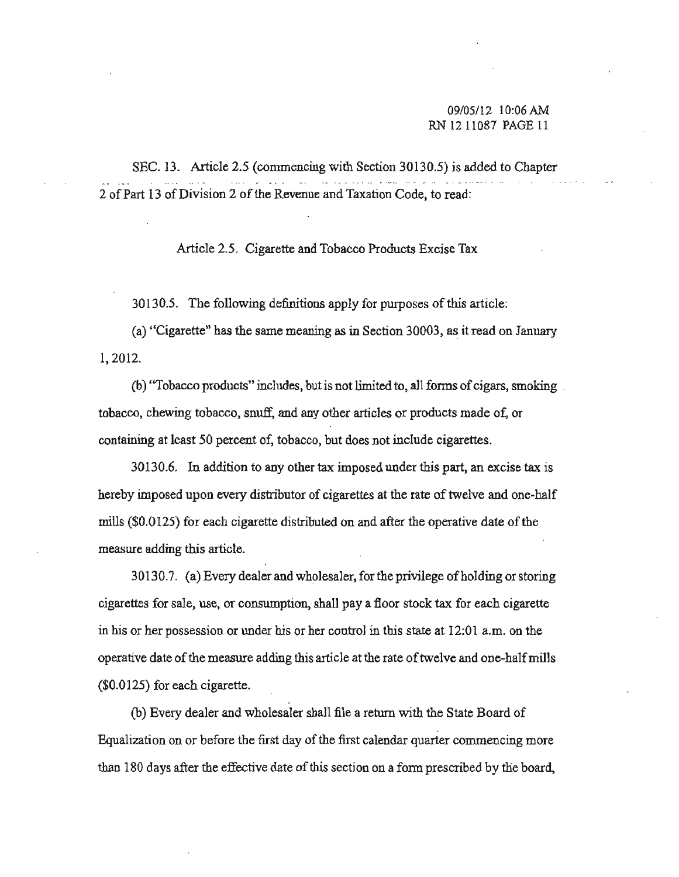SEC. 13. Article 2.5 (commencing with Section 30130.5) is added to Chapter 2 of Part 13 of Division 2 of the Revenue and Taxation Code, to read:

Article 2.5. Cigarette and Tobacco Products Excise Tax

30130.5. The following definitions apply for purposes ofthis article:

**(a) "Cigarette" has the same meaning as in Section 30003,** a~ **it read on January**  1,2012.

(b) "Tobacco products" includes, but is not limited to, all forms of cigars, smoking. **tobacco, chewing tobacco, snuff, and any other articles or products made of, or containing at least 50 percent of, tobacco, but does not include cigarettes.** 

**30130.6. In addition to any other tax imposed under this part, an excise tax is hereby imposed upon every distributor of cigarettes at the rate of twelve and one-half**  mills (\$0.0125) for each cigarette distributed on and after the operative date of the **measure adding this article.** 

30130.7. (a) Every dealer and wholesaler, for the privilege of holding or storing **cigarettes for sale, use, or consumption, shall pay a floor stock tax for each cigarette**  in his or her possession or under his or her control in this state at 12:01 a.m. on the **operative date of the measure adding this article at the rate of twelve and one-half mills** (\$0.0125) for each cigarette.

(b) Every dealer and wholesaler shall file a return with the State Board of **Equalization on or before the first day of the first calendar quarter commencing more than 180 days after the effective date ofthis section on a fonn prescribed by the board,**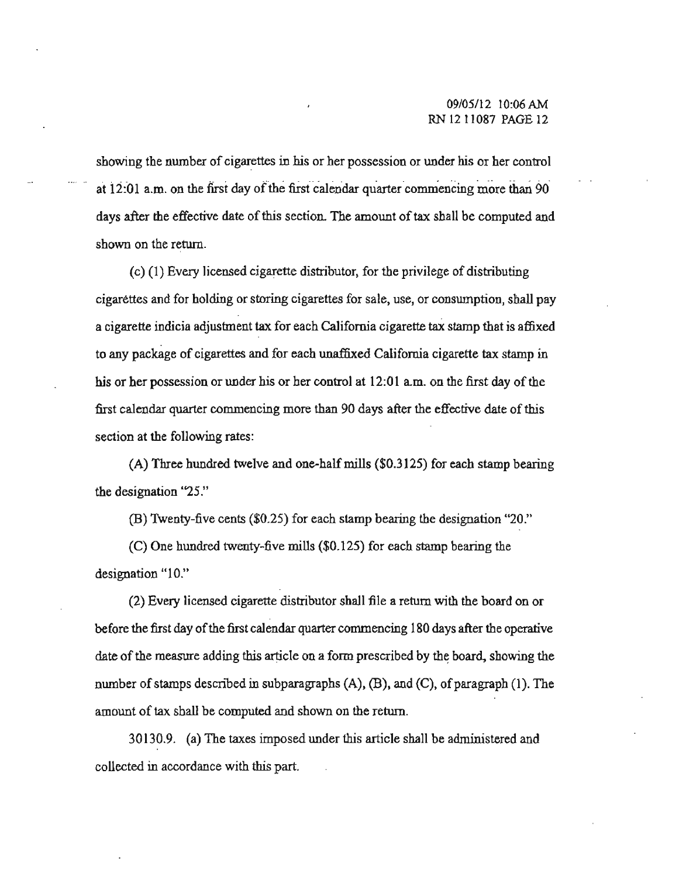showing the number of cigarettes in his or her possession or under his or her control at  $12:01$  a.m. on the first day of the first calendar quarter commencing more than 90 days after the effective date of this section. The amount of tax shall be computed and **shown on the return.** 

 $(c)$  (1) Every licensed cigarette distributor, for the privilege of distributing **cigarettes and for holding or storing cigarettes for sale, use, or conswnption, shall pay a cigarette indicia adjustment tax for each California cigarette tax stamp that is affixed to any package of cigarettes and for each unaffixed California cigarette tax stamp in his or her possession or under his or ber control at 12:01 a.m. on the first day** of the **first calendar quarter commencing more than 90 days after the effective date of this section at the following rates:** 

 $(A)$  Three hundred twelve and one-half mills (\$0.3125) for each stamp bearing **the designation "25 ."** 

(B) Twenty-five cents (\$0.25) for each stamp bearing the designation "20."

(C) One hundred twenty-five mills (\$0.125) for each stamp bearing the designation "10."

(2) Every licensed cigarette distributor shall file a return with the board on or before the first day of the first calendar quarter commencing 180 days after the operative date of the measure adding this article on a form prescribed by the board, showing the number of stamps described in subparagraphs  $(A)$ ,  $(B)$ , and  $(C)$ , of paragraph (1). The amount of tax shall be computed and shown on the return.

30130.9. (a) The taxes imposed under this article shall be administered and **collected in accordance with this part.**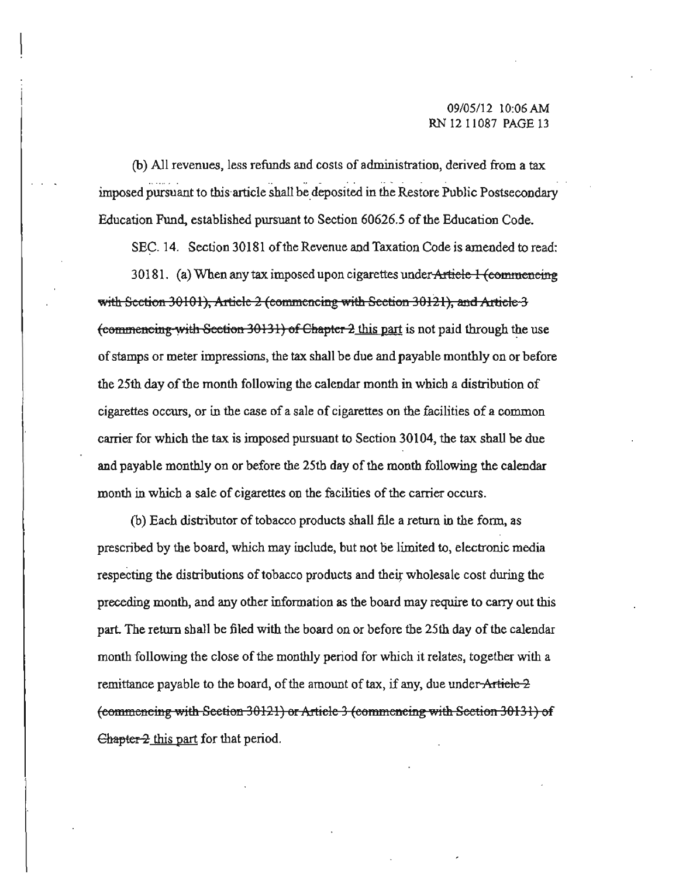**(b) All revenues, less refunds and costs of administration, derived from a tax**  . . . imposed pursuant to this article shall be deposited in the Restore Public Postsecondary Education Fund, established pursuant to Section 60626.5 of the Education Code.

**SEC. 14. Section 30181** ofthe **Revenue and Taxation Code is amended to read: 30181. (a) When any tax imposed upon cigarettes underA."tiele 1 (eemmenemg:**  with Section 30101), Artiele 2 (commencing with Section 30121), and Artiele 3 (commencing with Section 30131) of Chapter 2 this part is not paid through the use **ofstamps or meter impressions, the tax shall be due and payable monthly on or before**  the 25th day of the month following the calendar month in which a distribution of cigarettes occurs, or in the case of a sale of cigarettes on the facilities of a common **carrier for which the tax is imposed pursuant to Section 30104, the tax shall be due**  and payable monthly on or before the 25th day of the month following the calendar month in which a sale of cigarettes on the facilities of the carrier occurs.

(b) Each distributor of tobacco products shall file a return in the form, as **prescribed by the board, which may include, but not be limited to, electronic media**  respecting the distributions of tobacco products and their wholesale cost during the **preceding month, and any other information as the board may require to carry out this**  part. The return shall be filed with the board on or before the 25th day of the calendar **month following the close** of the **monthly period for which it relates, together with** a remittance payable to the board, of the amount of tax, if any, due under Article 2 (commencing with Seetion 30121) or Article 3 (commencing with Seetion 30131) of  $\epsilon$  Chapter  $2$  this part for that period.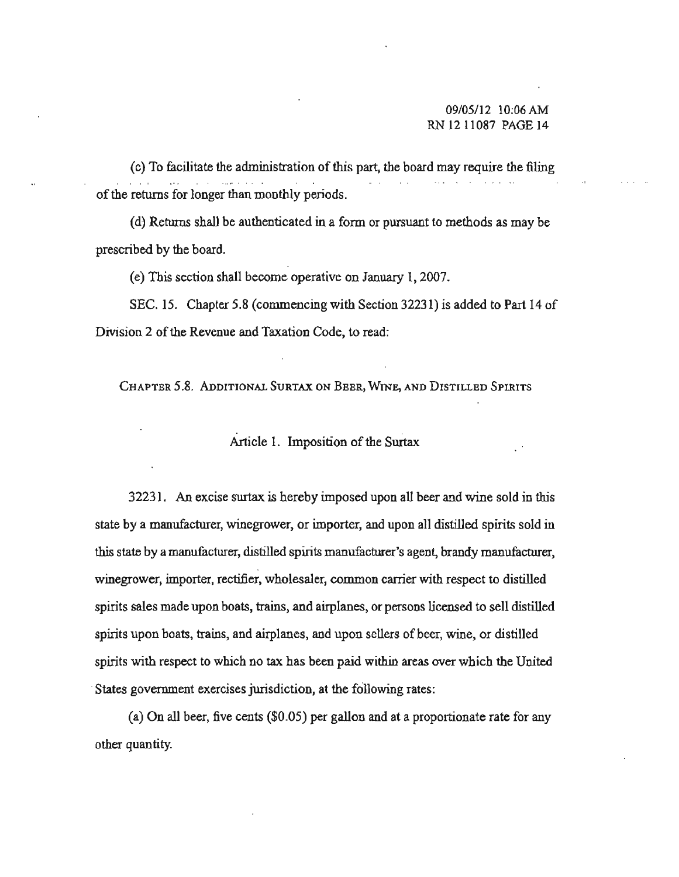(c) To facilitate the administration of this part, the board may require the filing of the returns for longer than monthly periods.

(d) Returns shall be authenticated in a form or pursuant to methods as may be prescribed by the board.

(e) This section shall become operative on January 1,2007.

SEC. IS. Chapter 5.8 (commencing with Section 32231) is added to Part 14 of Division 2 of the Revenue and Taxation Code, to read:

**CHAPTER 5.8. ADDIT'IONAL SURTAX ON BBER, WINE, AND DISTILLED SPIRITS** 

## Article I. Imposition of the Surtax

32231. An excise surtax is hereby imposed upon all beer and wine sold in this **state by a manufacturer, winegrower, or importer, and upon all distilled spirits sold in this state by amanufacturer, distilled spirits manufacturer's agent, brandy manufat:turer, winegrower, importer, rectifier, wholesaler, common carrier with respect to distiUed spirits sales made upon boats, trains, and airplanes, or persons licensed to sell distilled spirits upon boats, trams, and airplanes, aod upon sellers** ofbeer, **wine, or distilled spirits with respect to which no tax has been paid within areas over which the United States government exercises jurisdiction, at the following rates:** 

(a) On all beer, five cents (\$0.05) per gallon and at a proportionate rate for any other quantity.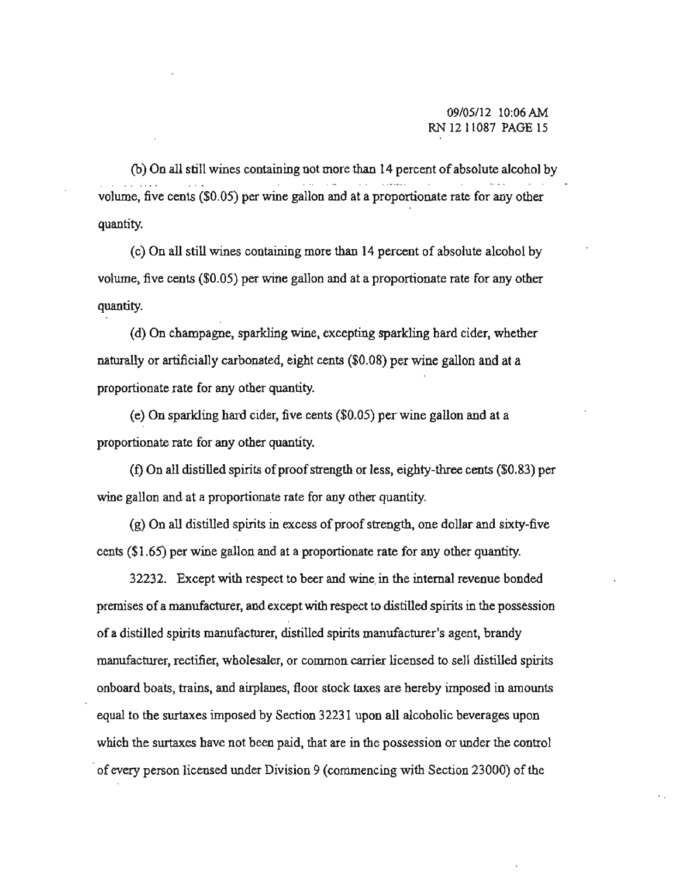(b) On all still wines containing not more than 14 percent of absolute alcohol by **volume, five cents (\$0.05) per wine gallon and at a proportionate rate for any other**  quantity.

(c) On all still wines containing more than 14 percent of absolute alcohol by **volume, five cents (\$0.05) per wine gallon and at a proportionate rate for any other**  quantity.

(d) On champagoe, sparkling wine, excepting sparkling hard cider, whether naturally or artificially carbonated, eight cents (\$0.08) per wine gallon and at a **proportionate rate for any other quantity.** 

(e) On sparkling hard cider, five cents (\$0.05) peT wine gallon and at a proportionate rate for any other quantity.

(I) On all distilled spirits of proof strength or less, eighty-three cents (\$0.83) per **wine gallon and at a proportionate rate for any other quantity.** 

(g) On all distilled spirits in excess of proof strength, one dollar and sixty-five cents (\$1.65) per wine gallon and at a proportionate rate for any other quantity.

**32232. Except with respect to beer and wine.in the internal revenue bonded premises ofa manufacturer, and except with respect to distilled spirits in the possession of a distilled spirits manufacturer, disti11ed spirits manufacturer's agent, brandy manufacturer, rectifier, wholesaler, or common carrier licensed to sell distilJed spirits onboard boats, trains, and airplanes, floor stock taxes are hereby imposed in amounts**  equal to the surtaxes imposed by Section 32231 upon all alcoholic beverages upon **which the surtaxes have not been paid, that are in the possession or under the control**  .**of every person licensed under Division 9 (commencing with Section 23000) of the**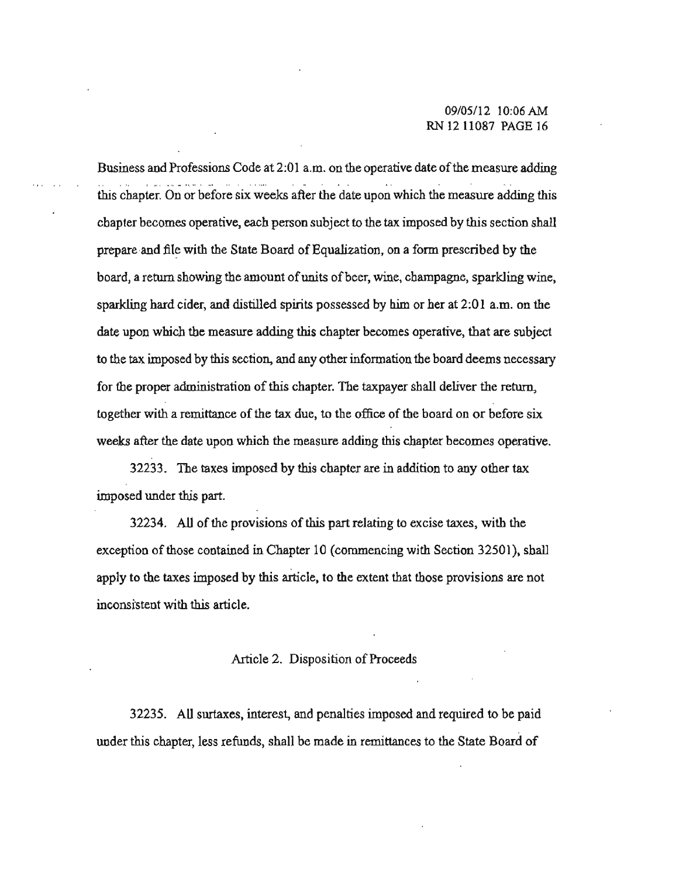#### 09105112 10:06 AM RN 12 11087 PAGE 16

Business and Professions Code at 2:01 a.m. on the operative date of the measure adding this chapter. On or before six weeks after the date upon which the measure adding this chapter becomes operative, each person subject to the tax imposed by this section shall prepare and file with the State Board of Equalization, on a form prescribed by the board, a return showing the amount of units of beer, wine, champagne, sparkling wine, sparkling hard cider, and distilled spirits possessed by him or her at 2:01 a.m. on the date upon which the measure adding this chapter becomes operative, that are subject to the tax imposed by this section, and any other information the board deems necessary for the proper administration of this chapter. The taxpayer shall deliver the return, together with a remittance of the tax due, to the office of the board on or before six weeks after the date upon which the measure adding this chapter becomes operative.

32233. The taxes imposed by this chapter are in addition to any other tax imposed under this part.

32234. All of the provisions of this part relating to excise taxes, with the exception of those contained in Chapter 10 (commencing with Section 32501), shall apply to the taxes imposed by this article, to the extent that those provisions are not inconsistent with this article.

#### Article 2. Disposition of Proceeds

32235. All surtaxes, interest, and penalties imposed and required to be paid under this chapter, less refunds, shall be made in remittances to the State Board of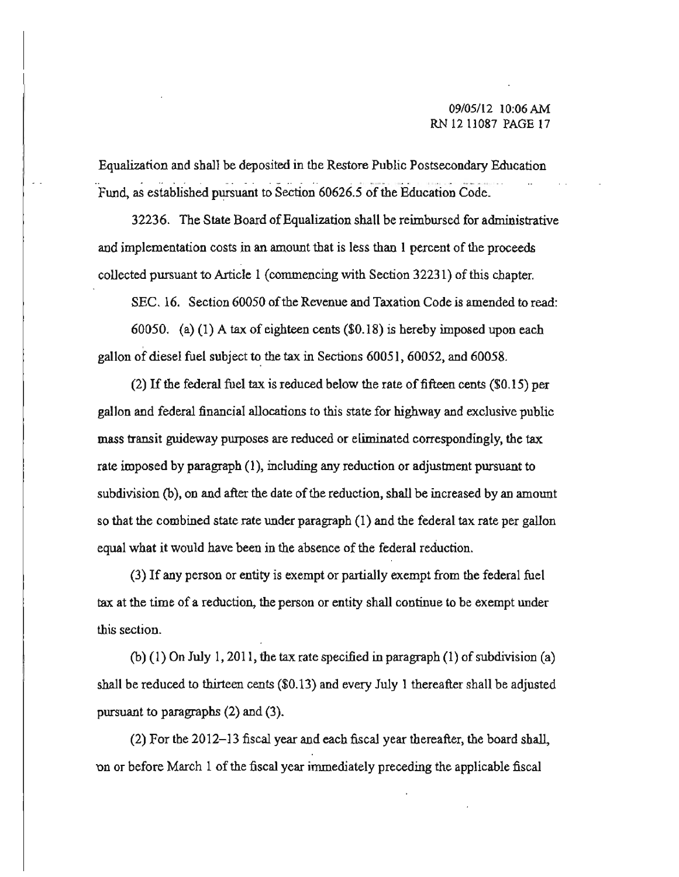Equalization and shall be deposited in the Restore Public Postsecondary Education Fund, as established pursuant to Section 60626.5 of the Education Code.

32236. The State Board ofEqualization shall be reimbursed for administrative **and implementation costs in an amount that is less than 1 percent of the proceeds**  collected pursuant to Article I (commencing with Section 32231) ofthis chapter.

SEC. 16. Section 60050 of the Revenue and Taxation Code is amended to read:

60050. (a) (I) A tax of eighteen cents (\$0.18) is hereby imposed upon each gallon of diesel fuel subject to the tax in Sections 60051, 60052, and 60058.

(2) If the federal fuel tax is reduced below the rate of fifteen cents  $(\$0.15)$  per gallon and federal financial allocations to this statc for highway and exclusive public **mass transit guideway purposes are reduced or eliminated correspondingly, the tax**  rate imposed by paragraph (I), including any reduction or adjustment pursuant to subdivision (b), on and after the date of the reduction, shall be increased by an amount so that the combined state rate under paragraph (1) and the federal tax rate per gallon **equal what it would have been in the absence of the federal reduction.** 

(3) If any person or entity is exempt or partially exempt from the federal fuel **tax at the time of a reduction, the person or entity shall continue to be exempt under this section.** 

(b) (1) On July 1, 2011, the tax rate specified in paragraph (1) of subdivision (a) shall be reduced to thirteen cents (\$0.13) and every July I thereafter shall be adjusted pursuant to paragraphs (2) and (3).

(2) For the  $2012-13$  fiscal year and each fiscal year thereafter, the board shall, on or before March 1 of the fiscal year immediately preceding the applicable fiscal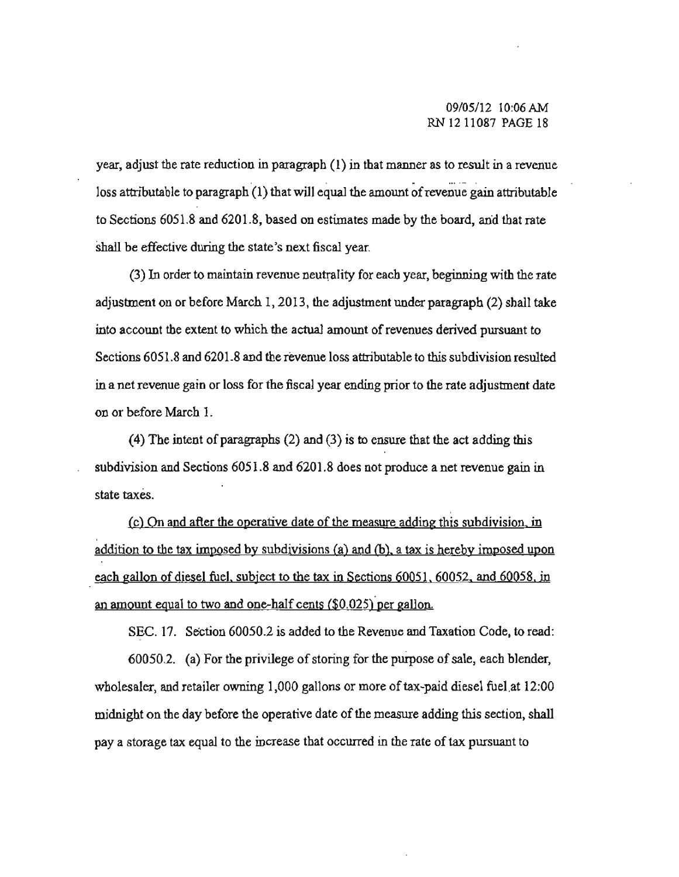#### 09/05112 IO;06AM RN 12 11087 PAGE 18

**year, adjust the rate reduction in paragraph (1) in that manner as to result in a revenue**   $\mathbf{r}$ loss attributable to paragraph  $(1)$  that will equal the amount of revenue gain attributable to Sections 6051.8 and 6201.8, based on estimates made by the board, and that rate **shall be effective during the state's next fiscal year.** 

**(3) In order to maintain revenue neutrality for each year, beginning with the rate**  adjustment on or before March I, 2013, the adjustment under paragraph (2) sball take **into account the extent to which the actual amount of revenues derived pursuant to**  Sections 6051.8 and 6201.8 and the revenue loss attributable to this subdivision resulted in **a net revenue gain or loss for the fiscal year ending prior to the rate adjustment date on or before March 1.** 

(4) The intent of paragraphs (2) and (3) is to ensure that the act adding this subdivision and Sections 6051.8 and 6201.8 does not produce a net revenue gain in **state taxes.** 

**(e) On and after the operative date** of the **meastrre adding this subdivision. in**  addition to the tax imposed by subdivisions (a) and (b), a tax is hereby imposed upon each gallon of diesel fuel, subject to the tax in Sections 60051. 60052. and 60058. in an amount equal to two and one-half cents  $(\$0.025)$  per gallon.

SEC. 17. Section 60050.2 is added to the Revenue and Taxation Code, to read:

60050.2. (a) For the privilege of storing for the purpose of sale, each blender, wholesaler, and retailer owning 1,000 gallons or more of tax-paid diesel fuel at 12:00 midnight on the day before the operative date of the measure adding this section, shall **pay a storage tax equal to the increase that occurred in the rate of tax pursuant to**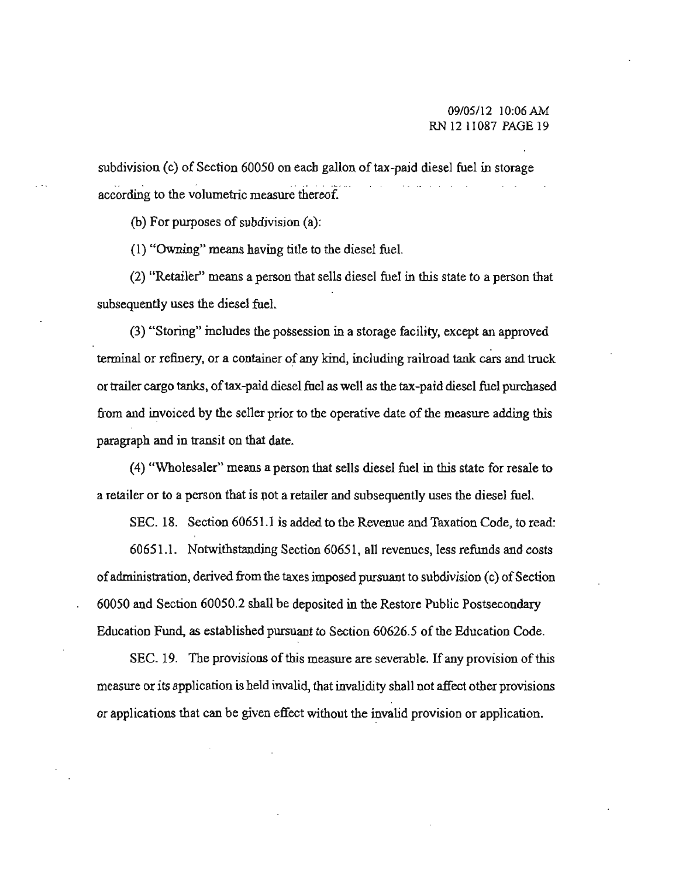subdivision (c) of Section 60050 on each gallon of tax-paid diesel fuel in storage **according to the volumetric measure thereof.** 

(b) For purposes of subdivision  $(a)$ :

(I) "Owning" means having title to the diesel fuel.

(2) "Retailer" means a person that sells diesel fuel in this state to a person that **subsequently uses the diesel fuel.** 

(3) "Storing" includes the possession in a storage facility, except an approved  $t$ erminal or refinery, or a container of any kind, including railroad tank cars and truck orttailer cargo tanks, oftax-paid diesel fuel as well as the tax-paid diesel fuel purchased from and invoiced by the seller prior to the operative date of the measure adding this paragraph and in transit on that date.

(4) "Wholesaler" means a person that sells diesel fuel in this state for resale to a retailer or to a person that is not a retailer and subsequently uses the diesel fuel.

SEC. 18. Section 60651.1 is added to the Revenue and Taxation Code, to read:

60651.1. Notwithstanding Section 60651, all revenues, less refunds and costs **of administration, derived from the taxes imposed pursuant to subdivision (c) of Section** 60050 and Section 60050.2 shall be deposited in the Restore Public Postsecondary Education Fund, as established pursuant to Section 60626.5 of the Education Code.

SEC. 19. The provisions of this measure are severable. If any provision of this **measure or its application is held invalid, that invalidity shall Dot affect other provisions**  or applications that can be given effect without the invalid provision or application.